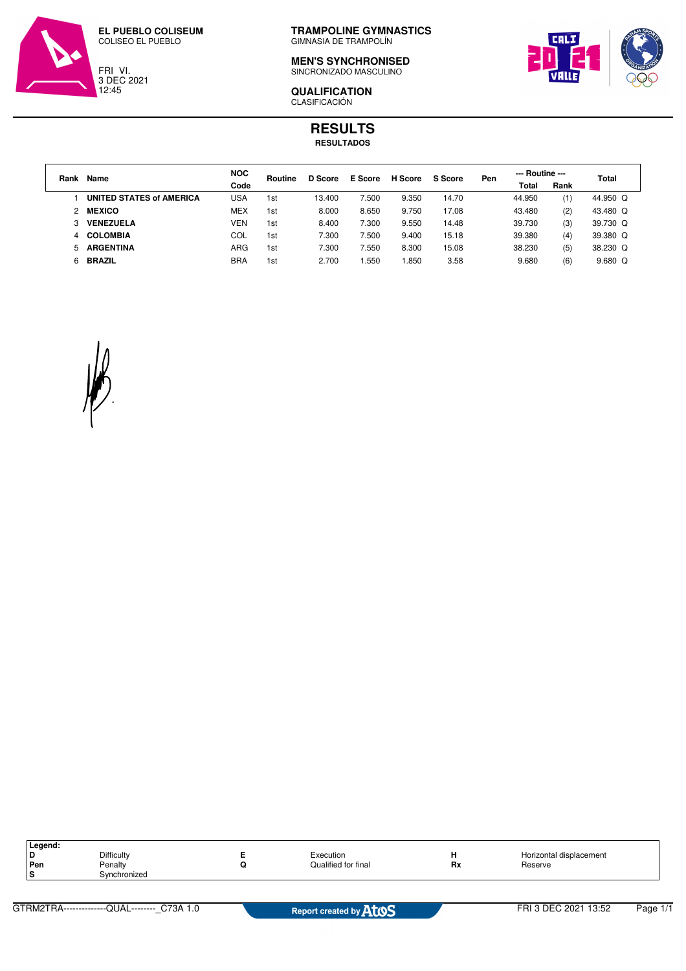



**TRAMPOLINE GYMNASTICS** GIMNASIA DE TRAMPOLÍN

**MEN'S SYNCHRONISED** SINCRONIZADO MASCULINO



**QUALIFICATION** CLASIFICACIÓN

## **RESULTS RESULTADOS**

| Rank | Name                            | <b>NOC</b> | Routine | D Score | E Score | H Score | S Score | Pen | --- Routine --- |      | Total     |
|------|---------------------------------|------------|---------|---------|---------|---------|---------|-----|-----------------|------|-----------|
|      |                                 | Code       |         |         |         |         |         |     | Total           | Rank |           |
|      | <b>UNITED STATES of AMERICA</b> | USA        | 1st     | 13.400  | 7.500   | 9.350   | 14.70   |     | 44.950          | (1)  | 44.950 Q  |
|      | 2 MEXICO                        | <b>MEX</b> | 1st     | 8.000   | 8.650   | 9.750   | 17.08   |     | 43.480          | (2)  | 43.480 Q  |
|      | <b>VENEZUELA</b>                | <b>VEN</b> | 1st     | 8.400   | 7.300   | 9.550   | 14.48   |     | 39.730          | (3)  | 39.730 Q  |
|      | 4 COLOMBIA                      | COL        | 1st     | 7.300   | 7.500   | 9.400   | 15.18   |     | 39.380          | (4)  | 39.380 Q  |
| 5.   | <b>ARGENTINA</b>                | ARG        | 1st     | 7.300   | 7.550   | 8.300   | 15.08   |     | 38.230          | (5)  | 38.230 Q  |
| 6.   | <b>BRAZIL</b>                   | <b>BRA</b> | 1st     | 2.700   | .550    | 1.850   | 3.58    |     | 9.680           | (6)  | $9.680$ Q |

| Legend: |                   |                     |    |                         |
|---------|-------------------|---------------------|----|-------------------------|
| l D     | <b>Difficulty</b> | Execution           |    | Horizontal displacement |
| Pen     | Penalty           | Qualified for final | Rx | Reserve                 |
| ۱s      | ੇvnchronized      |                     |    |                         |
|         |                   |                     |    |                         |